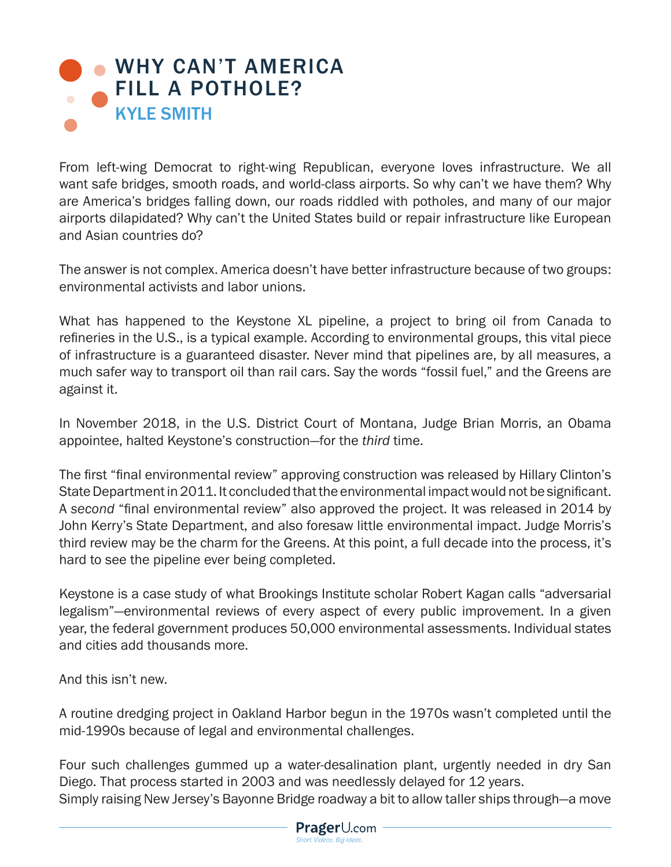## **[WHY CAN'T AMERICA](https://www.prageru.com/video/why-cant-america-fill-a-pothole)** FILL A POTHOLE? KYLE SMITH

From left-wing Democrat to right-wing Republican, everyone loves infrastructure. We all want safe bridges, smooth roads, and world-class airports. So why can't we have them? Why are America's bridges falling down, our roads riddled with potholes, and many of our major airports dilapidated? Why can't the United States build or repair infrastructure like European and Asian countries do?

The answer is not complex. America doesn't have better infrastructure because of two groups: environmental activists and labor unions.

What has happened to the Keystone XL pipeline, a project to bring oil from Canada to refineries in the U.S., is a typical example. According to environmental groups, this vital piece of infrastructure is a guaranteed disaster. Never mind that pipelines are, by all measures, a much safer way to transport oil than rail cars. Say the words "fossil fuel," and the Greens are against it.

In November 2018, in the U.S. District Court of Montana, Judge Brian Morris, an Obama appointee, halted Keystone's construction—for the *third* time.

The first "final environmental review" approving construction was released by Hillary Clinton's State Department in 2011. It concluded that the environmental impact would not be significant. A *second* "final environmental review" also approved the project. It was released in 2014 by John Kerry's State Department, and also foresaw little environmental impact. Judge Morris's third review may be the charm for the Greens. At this point, a full decade into the process, it's hard to see the pipeline ever being completed.

Keystone is a case study of what Brookings Institute scholar Robert Kagan calls "adversarial legalism"—environmental reviews of every aspect of every public improvement. In a given year, the federal government produces 50,000 environmental assessments. Individual states and cities add thousands more.

And this isn't new.

A routine dredging project in Oakland Harbor begun in the 1970s wasn't completed until the mid-1990s because of legal and environmental challenges.

Four such challenges gummed up a water-desalination plant, urgently needed in dry San Diego. That process started in 2003 and was needlessly delayed for 12 years. Simply raising New Jersey's Bayonne Bridge roadway a bit to allow taller ships through—a move